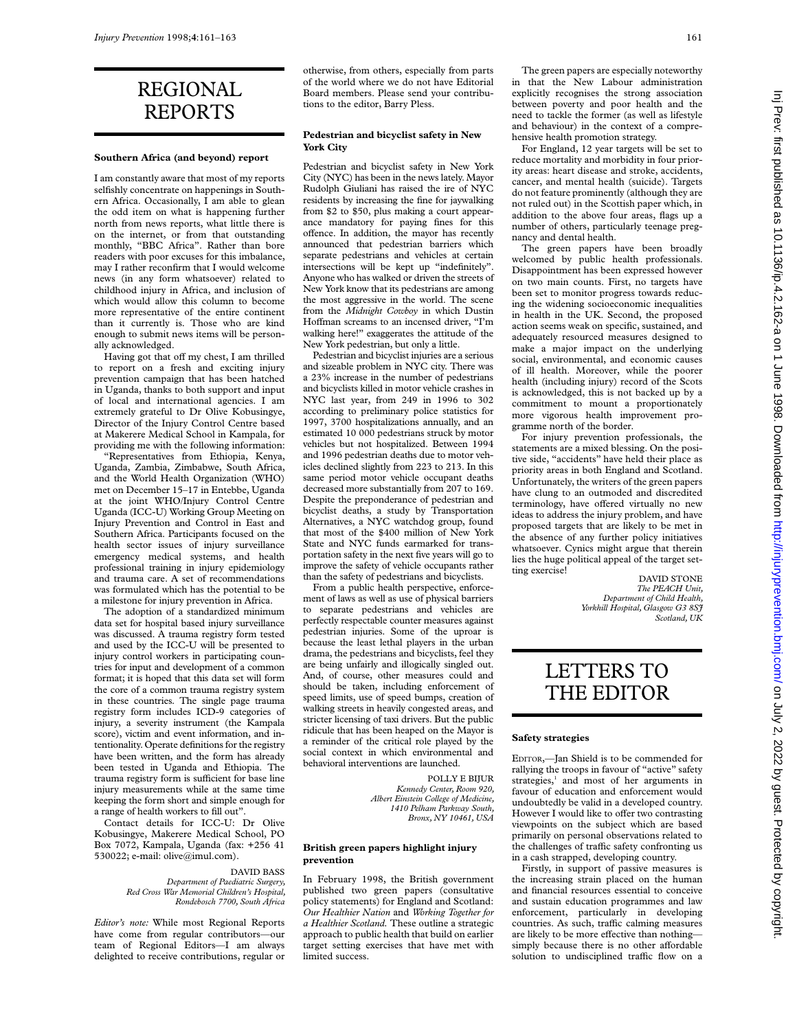# REGIONAL REPORTS

#### **Southern Africa (and beyond) report**

I am constantly aware that most of my reports selfishly concentrate on happenings in Southern Africa. Occasionally, I am able to glean the odd item on what is happening further north from news reports, what little there is on the internet, or from that outstanding monthly, "BBC Africa". Rather than bore readers with poor excuses for this imbalance, may I rather reconfirm that I would welcome news (in any form whatsoever) related to childhood injury in Africa, and inclusion of which would allow this column to become more representative of the entire continent than it currently is. Those who are kind enough to submit news items will be personally acknowledged.

Having got that off my chest, I am thrilled to report on a fresh and exciting injury prevention campaign that has been hatched in Uganda, thanks to both support and input of local and international agencies. I am extremely grateful to Dr Olive Kobusingye, Director of the Injury Control Centre based at Makerere Medical School in Kampala, for providing me with the following information:

"Representatives from Ethiopia, Kenya, Uganda, Zambia, Zimbabwe, South Africa, and the World Health Organization (WHO) met on December 15–17 in Entebbe, Uganda at the joint WHO/Injury Control Centre Uganda (ICC-U) Working Group Meeting on Injury Prevention and Control in East and Southern Africa. Participants focused on the health sector issues of injury surveillance emergency medical systems, and health professional training in injury epidemiology and trauma care. A set of recommendations was formulated which has the potential to be a milestone for injury prevention in Africa.

The adoption of a standardized minimum data set for hospital based injury surveillance was discussed. A trauma registry form tested and used by the ICC-U will be presented to injury control workers in participating countries for input and development of a common format; it is hoped that this data set will form the core of a common trauma registry system in these countries. The single page trauma registry form includes ICD-9 categories of injury, a severity instrument (the Kampala score), victim and event information, and intentionality. Operate definitions for the registry have been written, and the form has already been tested in Uganda and Ethiopia. The trauma registry form is sufficient for base line injury measurements while at the same time keeping the form short and simple enough for a range of health workers to fill out".

Contact details for ICC-U: Dr Olive Kobusingye, Makerere Medical School, PO Box 7072, Kampala, Uganda (fax: +256 41 530022; e-mail: olive@imul.com).

#### DAVID BASS *Department of Paediatric Surgery, Red Cross War Memorial Children's Hospital, Rondebosch 7700, South Africa*

*Editor's note:* While most Regional Reports have come from regular contributors—our team of Regional Editors—I am always delighted to receive contributions, regular or otherwise, from others, especially from parts of the world where we do not have Editorial Board members. Please send your contributions to the editor, Barry Pless.

### **Pedestrian and bicyclist safety in New York City**

Pedestrian and bicyclist safety in New York City (NYC) has been in the news lately.Mayor Rudolph Giuliani has raised the ire of NYC residents by increasing the fine for jaywalking from \$2 to \$50, plus making a court appearance mandatory for paying fines for this offence. In addition, the mayor has recently announced that pedestrian barriers which separate pedestrians and vehicles at certain intersections will be kept up "indefinitely". Anyone who has walked or driven the streets of New York know that its pedestrians are among the most aggressive in the world. The scene from the *Midnight Cowboy* in which Dustin Hoffman screams to an incensed driver, "I'm walking here!" exaggerates the attitude of the New York pedestrian, but only a little.

Pedestrian and bicyclist injuries are a serious and sizeable problem in NYC city. There was a 23% increase in the number of pedestrians and bicyclists killed in motor vehicle crashes in NYC last year, from 249 in 1996 to 302 according to preliminary police statistics for 1997, 3700 hospitalizations annually, and an estimated 10 000 pedestrians struck by motor vehicles but not hospitalized. Between 1994 and 1996 pedestrian deaths due to motor vehicles declined slightly from 223 to 213. In this same period motor vehicle occupant deaths decreased more substantially from 207 to 169. Despite the preponderance of pedestrian and bicyclist deaths, a study by Transportation Alternatives, a NYC watchdog group, found that most of the \$400 million of New York State and NYC funds earmarked for transportation safety in the next five years will go to improve the safety of vehicle occupants rather than the safety of pedestrians and bicyclists.

From a public health perspective, enforcement of laws as well as use of physical barriers to separate pedestrians and vehicles are perfectly respectable counter measures against pedestrian injuries. Some of the uproar is because the least lethal players in the urban drama, the pedestrians and bicyclists, feel they are being unfairly and illogically singled out. And, of course, other measures could and should be taken, including enforcement of speed limits, use of speed bumps, creation of walking streets in heavily congested areas, and stricter licensing of taxi drivers. But the public ridicule that has been heaped on the Mayor is a reminder of the critical role played by the social context in which environmental and behavioral interventions are launched.

> POLLY E BIJUR *Kennedy Center, Room 920, Albert Einstein College of Medicine, 1410 Pelham Parkway South, Bronx, NY 10461, USA*

#### **British green papers highlight injury prevention**

In February 1998, the British government published two green papers (consultative policy statements) for England and Scotland: *Our Healthier Nation* and *Working Together for a Healthier Scotland.* These outline a strategic approach to public health that build on earlier target setting exercises that have met with limited success.

The green papers are especially noteworthy in that the New Labour administration explicitly recognises the strong association between poverty and poor health and the need to tackle the former (as well as lifestyle and behaviour) in the context of a comprehensive health promotion strategy.

For England, 12 year targets will be set to reduce mortality and morbidity in four priority areas: heart disease and stroke, accidents, cancer, and mental health (suicide). Targets do not feature prominently (although they are not ruled out) in the Scottish paper which, in addition to the above four areas, flags up a number of others, particularly teenage pregnancy and dental health.

The green papers have been broadly welcomed by public health professionals. Disappointment has been expressed however on two main counts. First, no targets have been set to monitor progress towards reducing the widening socioeconomic inequalities in health in the UK. Second, the proposed action seems weak on specific, sustained, and adequately resourced measures designed to make a major impact on the underlying social, environmental, and economic causes of ill health. Moreover, while the poorer health (including injury) record of the Scots is acknowledged, this is not backed up by a commitment to mount a proportionately more vigorous health improvement programme north of the border.

For injury prevention professionals, the statements are a mixed blessing. On the positive side, "accidents" have held their place as priority areas in both England and Scotland. Unfortunately, the writers of the green papers have clung to an outmoded and discredited terminology, have offered virtually no new ideas to address the injury problem, and have proposed targets that are likely to be met in the absence of any further policy initiatives whatsoever. Cynics might argue that therein lies the huge political appeal of the target setting exercise!

DAVID STONE *The PEACH Unit, Department of Child Health, Yorkhill Hospital, Glasgow G3 8SJ Scotland, UK*

# LETTERS TO THE EDITOR

#### **Safety strategies**

EDITOR,—Jan Shield is to be commended for rallying the troops in favour of "active" safety strategies,<sup>1</sup> and most of her arguments in favour of education and enforcement would undoubtedly be valid in a developed country. However I would like to offer two contrasting viewpoints on the subject which are based primarily on personal observations related to the challenges of traffic safety confronting us in a cash strapped, developing country.

Firstly, in support of passive measures is the increasing strain placed on the human and financial resources essential to conceive and sustain education programmes and law enforcement, particularly in developing countries. As such, traffic calming measures are likely to be more effective than nothing simply because there is no other affordable solution to undisciplined traffic flow on a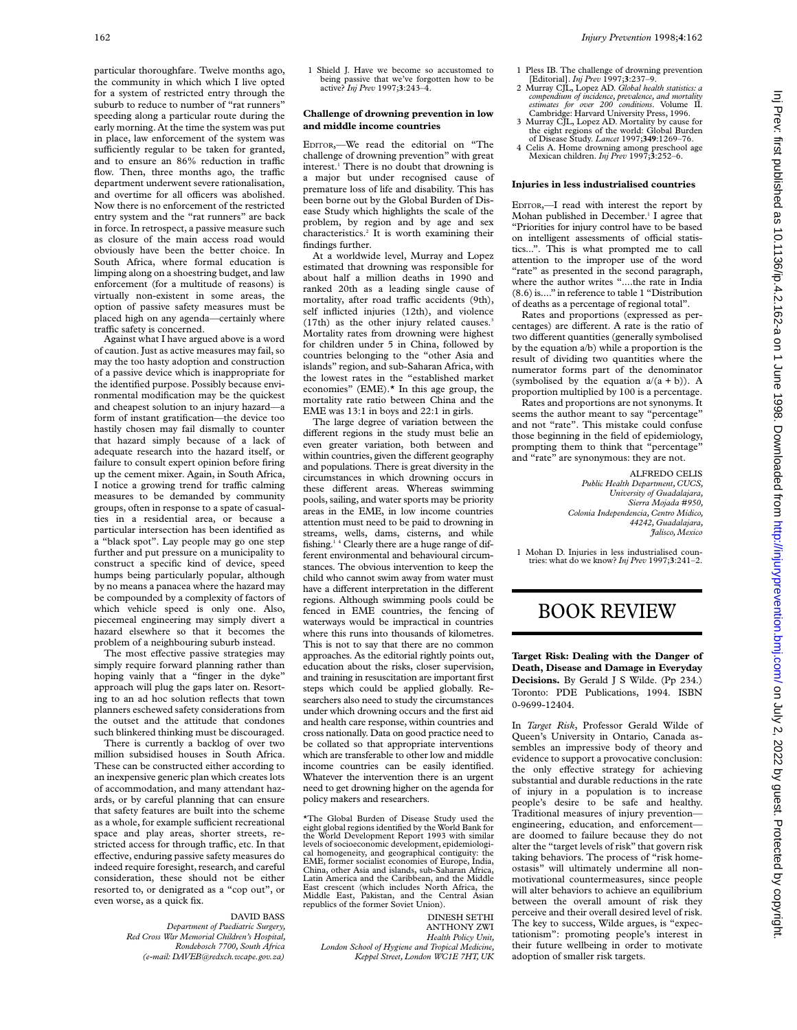particular thoroughfare. Twelve months ago, the community in which which I live opted for a system of restricted entry through the suburb to reduce to number of "rat runners" speeding along a particular route during the early morning. At the time the system was put in place, law enforcement of the system was sufficiently regular to be taken for granted, and to ensure an  $86\%$  reduction in traffic flow. Then, three months ago, the traffic department underwent severe rationalisation, and overtime for all officers was abolished. Now there is no enforcement of the restricted entry system and the "rat runners" are back in force. In retrospect, a passive measure such as closure of the main access road would obviously have been the better choice. In South Africa, where formal education is limping along on a shoestring budget, and law enforcement (for a multitude of reasons) is virtually non-existent in some areas, the option of passive safety measures must be placed high on any agenda—certainly where traffic safety is concerned.

Against what I have argued above is a word of caution. Just as active measures may fail, so may the too hasty adoption and construction of a passive device which is inappropriate for the identified purpose. Possibly because environmental modification may be the quickest and cheapest solution to an injury hazard—a form of instant gratification—the device too hastily chosen may fail dismally to counter that hazard simply because of a lack of adequate research into the hazard itself, or failure to consult expert opinion before firing up the cement mixer. Again, in South Africa, I notice a growing trend for traffic calming measures to be demanded by community groups, often in response to a spate of casualties in a residential area, or because a particular intersection has been identified as a "black spot". Lay people may go one step further and put pressure on a municipality to construct a specific kind of device, speed humps being particularly popular, although by no means a panacea where the hazard may be compounded by a complexity of factors of which vehicle speed is only one. Also, piecemeal engineering may simply divert a hazard elsewhere so that it becomes the problem of a neighbouring suburb instead.

The most effective passive strategies may simply require forward planning rather than hoping vainly that a "finger in the dyke" approach will plug the gaps later on. Resorting to an ad hoc solution reflects that town planners eschewed safety considerations from the outset and the attitude that condones such blinkered thinking must be discouraged.

There is currently a backlog of over two million subsidised houses in South Africa. These can be constructed either according to an inexpensive generic plan which creates lots of accommodation, and many attendant hazards, or by careful planning that can ensure that safety features are built into the scheme as a whole, for example sufficient recreational space and play areas, shorter streets, restricted access for through traffic, etc. In that effective, enduring passive safety measures do indeed require foresight, research, and careful consideration, these should not be either resorted to, or denigrated as a "cop out", or even worse, as a quick fix.

#### DAVID BASS

*Department of Paediatric Surgery, Red Cross War Memorial Children's Hospital, Rondebosch 7700, South Africa (e-mail: DAVEB@redxch.wcape.gov.za)*

1. Shield J. Have we become so accustomed to being passive that we've forgotten how to be active? *Inj Prev* 1997;**3**:243–4.

### **Challenge of drowning prevention in low and middle income countries**

EDITOR,—We read the editorial on "The challenge of drowning prevention" with great interest.<sup>1</sup> There is no doubt that drowning is a major but under recognised cause of premature loss of life and disability. This has been borne out by the Global Burden of Disease Study which highlights the scale of the problem, by region and by age and sex characteristics.2 It is worth examining their findings further.

At a worldwide level, Murray and Lopez estimated that drowning was responsible for about half a million deaths in 1990 and ranked 20th as a leading single cause of mortality, after road traffic accidents (9th), self inflicted injuries (12th), and violence (17th) as the other injury related causes.<sup>3</sup> Mortality rates from drowning were highest for children under 5 in China, followed by countries belonging to the "other Asia and islands" region, and sub-Saharan Africa, with the lowest rates in the "established market economies" (EME).\* In this age group, the mortality rate ratio between China and the EME was 13:1 in boys and 22:1 in girls.

The large degree of variation between the different regions in the study must belie an even greater variation, both between and within countries, given the different geography and populations. There is great diversity in the circumstances in which drowning occurs in these different areas. Whereas swimming pools, sailing, and water sports may be priority areas in the EME, in low income countries attention must need to be paid to drowning in streams, wells, dams, cisterns, and while fishing.1 4 Clearly there are a huge range of different environmental and behavioural circumstances. The obvious intervention to keep the child who cannot swim away from water must have a different interpretation in the different regions. Although swimming pools could be fenced in EME countries, the fencing of waterways would be impractical in countries where this runs into thousands of kilometres. This is not to say that there are no common approaches. As the editorial rightly points out, education about the risks, closer supervision, and training in resuscitation are important first steps which could be applied globally. Researchers also need to study the circumstances under which drowning occurs and the first aid and health care response, within countries and cross nationally. Data on good practice need to be collated so that appropriate interventions which are transferable to other low and middle income countries can be easily identified. Whatever the intervention there is an urgent need to get drowning higher on the agenda for policy makers and researchers.

\*The Global Burden of Disease Study used the eight global regions identified by the World Bank for the World Development Report 1993 with similar levels of socioeconomic development, epidemiological homogeneity, and geographical contiguity: the EME, former socialist economies of Europe, India, China, other Asia and islands, sub-Saharan Africa, Latin America and the Caribbean, and the Middle East crescent (which includes North Africa, the Middle East, Pakistan, and the Central Asian republics of the former Soviet Union).

DINESH SETHI ANTHONY ZWI *Health Policy Unit, London School of Hygiene and Tropical Medicine, Keppel Street, London WC1E 7HT, UK*

- 1 Pless IB. The challenge of drowning prevention [Editorial]. *Inj Prev* 1997;**3**:237–9.
- 2 Murray CJL, Lopez AD. *Global health statistics: a compendium of incidence, prevalence, and mortality estimates for over 200 conditions*. Volume II. Cambridge: Harvard University Press, 1996.
- 3 Murray CJL, Lopez AD. Mortality by cause for the eight regions of the world: Global Burden of Disease Study. *Lancet* 1997;**349**:1269–76.
- 4 Celis A. Home drowning among preschool age Mexican children. *Inj Prev* 1997;**3**:252–6.

#### **Injuries in less industrialised countries**

EDITOR,—I read with interest the report by Mohan published in December.<sup>1</sup> I agree that "Priorities for injury control have to be based on intelligent assessments of official statistics...". This is what prompted me to call attention to the improper use of the word "rate" as presented in the second paragraph, where the author writes "....the rate in India (8.6) is...." in reference to table 1 "Distribution of deaths as a percentage of regional total".

Rates and proportions (expressed as percentages) are different. A rate is the ratio of two different quantities (generally symbolised by the equation a/b) while a proportion is the result of dividing two quantities where the numerator forms part of the denominator (symbolised by the equation  $a/(a + b)$ ). A proportion multiplied by 100 is a percentage.

Rates and proportions are not synonyms. It seems the author meant to say "percentage" and not "rate". This mistake could confuse those beginning in the field of epidemiology, prompting them to think that "percentage" and "rate" are synonymous: they are not.

> ALFREDO CELIS *Public Health Department, CUCS, University of Guadalajara, Sierra Mojada #950, Colonia Independencia, Centro Midico, 44242, Guadalajara, Jalisco, Mexico*

1 Mohan D. Injuries in less industrialised countries: what do we know? *Inj Prev* 1997;**3**:241–2.

# BOOK REVIEW

**Target Risk: Dealing with the Danger of Death, Disease and Damage in Everyday Decisions.** By Gerald J S Wilde. (Pp 234.) Toronto: PDE Publications, 1994. ISBN 0-9699-12404.

In *Target Risk*, Professor Gerald Wilde of Queen's University in Ontario, Canada assembles an impressive body of theory and evidence to support a provocative conclusion: the only effective strategy for achieving substantial and durable reductions in the rate of injury in a population is to increase people's desire to be safe and healthy. Traditional measures of injury prevention engineering, education, and enforcement are doomed to failure because they do not alter the "target levels of risk" that govern risk taking behaviors. The process of "risk homeostasis" will ultimately undermine all nonmotivational countermeasures, since people will alter behaviors to achieve an equilibrium between the overall amount of risk they perceive and their overall desired level of risk. The key to success, Wilde argues, is "expectationism": promoting people's interest in their future wellbeing in order to motivate adoption of smaller risk targets.